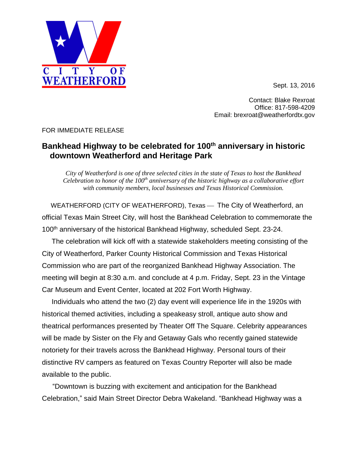

Contact: Blake Rexroat Office: 817-598-4209 Email: brexroat@weatherfordtx.gov

FOR IMMEDIATE RELEASE

## **Bankhead Highway to be celebrated for 100th anniversary in historic downtown Weatherford and Heritage Park**

*City of Weatherford is one of three selected cities in the state of Texas to host the Bankhead Celebration to honor of the 100th anniversary of the historic highway as a collaborative effort with community members, local businesses and Texas Historical Commission.*

WEATHERFORD (CITY OF WEATHERFORD), Texas — The City of Weatherford, an official Texas Main Street City, will host the Bankhead Celebration to commemorate the 100<sup>th</sup> anniversary of the historical Bankhead Highway, scheduled Sept. 23-24.

 The celebration will kick off with a statewide stakeholders meeting consisting of the City of Weatherford, Parker County Historical Commission and Texas Historical Commission who are part of the reorganized Bankhead Highway Association. The meeting will begin at 8:30 a.m. and conclude at 4 p.m. Friday, Sept. 23 in the Vintage Car Museum and Event Center, located at 202 Fort Worth Highway.

 Individuals who attend the two (2) day event will experience life in the 1920s with historical themed activities, including a speakeasy stroll, antique auto show and theatrical performances presented by Theater Off The Square. Celebrity appearances will be made by Sister on the Fly and Getaway Gals who recently gained statewide notoriety for their travels across the Bankhead Highway. Personal tours of their distinctive RV campers as featured on Texas Country Reporter will also be made available to the public.

"Downtown is buzzing with excitement and anticipation for the Bankhead Celebration," said Main Street Director Debra Wakeland. "Bankhead Highway was a

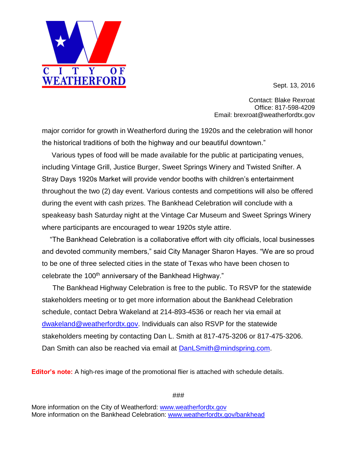Sept. 13, 2016



major corridor for growth in Weatherford during the 1920s and the celebration will honor the historical traditions of both the highway and our beautiful downtown."

 $I$  T

 $\overline{\mathbf{Y}}$ 

WEATHERFORD

 $\overline{0}$  F

 Various types of food will be made available for the public at participating venues, including Vintage Grill, Justice Burger, Sweet Springs Winery and Twisted Snifter. A Stray Days 1920s Market will provide vendor booths with children's entertainment throughout the two (2) day event. Various contests and competitions will also be offered during the event with cash prizes. The Bankhead Celebration will conclude with a speakeasy bash Saturday night at the Vintage Car Museum and Sweet Springs Winery where participants are encouraged to wear 1920s style attire.

"The Bankhead Celebration is a collaborative effort with city officials, local businesses and devoted community members," said City Manager Sharon Hayes. "We are so proud to be one of three selected cities in the state of Texas who have been chosen to celebrate the 100<sup>th</sup> anniversary of the Bankhead Highway."

The Bankhead Highway Celebration is free to the public. To RSVP for the statewide stakeholders meeting or to get more information about the Bankhead Celebration schedule, contact Debra Wakeland at 214-893-4536 or reach her via email at [dwakeland@weatherfordtx.gov.](mailto:dwakeland@weatherfordtx.gov) Individuals can also RSVP for the statewide stakeholders meeting by contacting Dan L. Smith at 817-475-3206 or 817-475-3206. Dan Smith can also be reached via email at [DanLSmith@mindspring.com.](mailto:DanLSmith@mindspring.com)

**Editor's note:** A high-res image of the promotional flier is attached with schedule details.

###

More information on the City of Weatherford: [www.weatherfordtx.gov](http://www.weatherfordtx.gov/) More information on the Bankhead Celebration: [www.weatherfordtx.gov/bankhead](http://www.weatherfordtx.gov/bankhead)